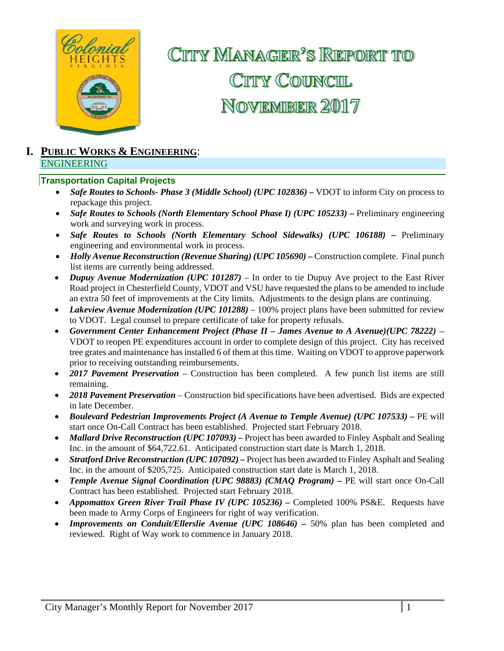

CITTY MANAGER<sup>2</sup>S REPORT TO CITY COUNCIL NOVEMBER 2017

### **I. PUBLIC WORKS & ENGINEERING**: ENGINEERING

### **Transportation Capital Projects**

- *Safe Routes to Schools- Phase 3 (Middle School) (UPC 102836) VDOT to inform City on process to* repackage this project.
- *Safe Routes to Schools (North Elementary School Phase I) (UPC 105233) Preliminary engineering* work and surveying work in process.
- *Safe Routes to Schools (North Elementary School Sidewalks) (UPC 106188) –* Preliminary engineering and environmental work in process.
- Holly Avenue Reconstruction (Revenue Sharing) (UPC 105690) Construction complete. Final punch list items are currently being addressed.
- *Dupuy Avenue Modernization (UPC 101287)* In order to tie Dupuy Ave project to the East River Road project in Chesterfield County, VDOT and VSU have requested the plans to be amended to include an extra 50 feet of improvements at the City limits. Adjustments to the design plans are continuing.
- *Lakeview Avenue Modernization (UPC 101288)* 100% project plans have been submitted for review to VDOT. Legal counsel to prepare certificate of take for property refusals.
- *Government Center Enhancement Project (Phase II James Avenue to A Avenue)(UPC 78222)*  VDOT to reopen PE expenditures account in order to complete design of this project. City has received tree grates and maintenance has installed 6 of them at this time. Waiting on VDOT to approve paperwork prior to receiving outstanding reimbursements.
- *2017 Pavement Preservation* Construction has been completed. A few punch list items are still remaining.
- *2018 Pavement Preservation* Construction bid specifications have been advertised. Bids are expected in late December.
- **•** Boulevard Pedestrian Improvements Project (A Avenue to Temple Avenue) (UPC 107533) PE will start once On-Call Contract has been established. Projected start February 2018.
- Mallard Drive Reconstruction (UPC 107093) Project has been awarded to Finley Asphalt and Sealing Inc. in the amount of \$64,722.61. Anticipated construction start date is March 1, 2018.
- *Stratford Drive Reconstruction (UPC 107092) –* Project has been awarded to Finley Asphalt and Sealing Inc. in the amount of \$205,725. Anticipated construction start date is March 1, 2018.
- Temple Avenue Signal Coordination (UPC 98883) (CMAQ Program) PE will start once On-Call Contract has been established. Projected start February 2018.
- **•** Appomattox Green River Trail Phase IV (UPC 105236) Completed 100% PS&E. Requests have been made to Army Corps of Engineers for right of way verification.
- *Improvements on Conduit/Ellerslie Avenue (UPC 108646)* 50% plan has been completed and reviewed. Right of Way work to commence in January 2018.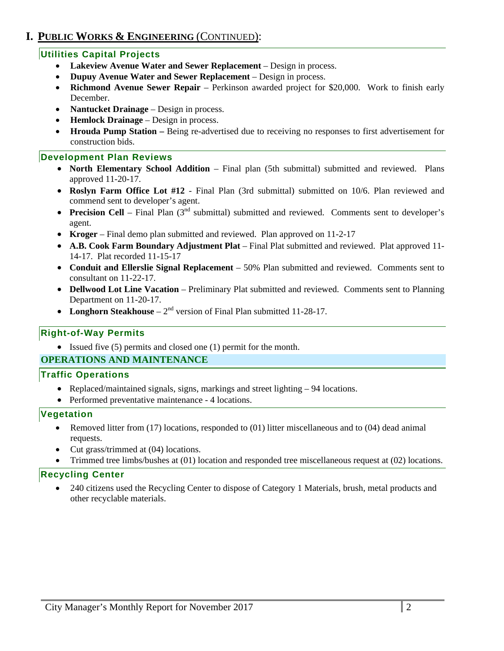## **I. PUBLIC WORKS & ENGINEERING** (CONTINUED):

### **Utilities Capital Projects**

- **Lakeview Avenue Water and Sewer Replacement**  Design in process.
- **Dupuy Avenue Water and Sewer Replacement**  Design in process.
- **Richmond Avenue Sewer Repair**  Perkinson awarded project for \$20,000. Work to finish early December.
- **Nantucket Drainage** Design in process.
- **Hemlock Drainage** Design in process.
- **Hrouda Pump Station –** Being re-advertised due to receiving no responses to first advertisement for construction bids.

### **Development Plan Reviews**

- **North Elementary School Addition** Final plan (5th submittal) submitted and reviewed. Plans approved 11-20-17.
- **Roslyn Farm Office Lot #12** Final Plan (3rd submittal) submitted on 10/6. Plan reviewed and commend sent to developer's agent.
- **Precision Cell** Final Plan (3<sup>nd</sup> submittal) submitted and reviewed. Comments sent to developer's agent.
- **Kroger** Final demo plan submitted and reviewed. Plan approved on 11-2-17
- **A.B. Cook Farm Boundary Adjustment Plat** Final Plat submitted and reviewed. Plat approved 11- 14-17. Plat recorded 11-15-17
- **Conduit and Ellerslie Signal Replacement**  50% Plan submitted and reviewed. Comments sent to consultant on 11-22-17.
- **Dellwood Lot Line Vacation** Preliminary Plat submitted and reviewed. Comments sent to Planning Department on 11-20-17.
- Longhorn Steakhouse  $-2^{nd}$  version of Final Plan submitted 11-28-17.

### **Right-of-Way Permits**

Issued five (5) permits and closed one (1) permit for the month.

### **OPERATIONS AND MAINTENANCE**

### **Traffic Operations**

- Replaced/maintained signals, signs, markings and street lighting 94 locations.
- Performed preventative maintenance 4 locations.

### **Vegetation**

- Removed litter from (17) locations, responded to (01) litter miscellaneous and to (04) dead animal requests.
- Cut grass/trimmed at (04) locations.
- Trimmed tree limbs/bushes at (01) location and responded tree miscellaneous request at (02) locations.

### **Recycling Center**

 240 citizens used the Recycling Center to dispose of Category 1 Materials, brush, metal products and other recyclable materials.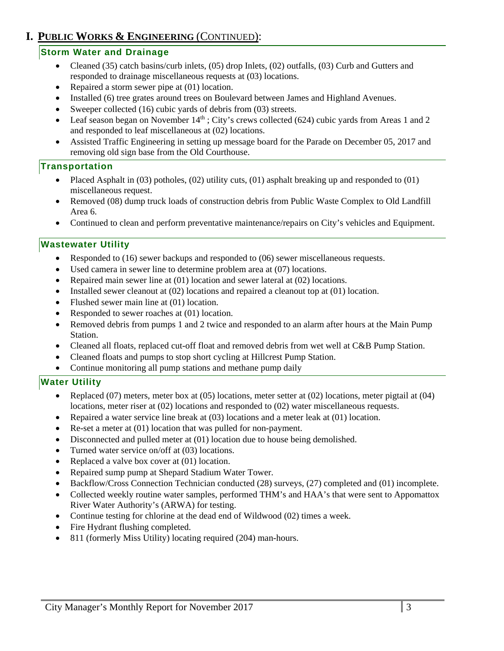## **I. PUBLIC WORKS & ENGINEERING** (CONTINUED):

### **Storm Water and Drainage**

- Cleaned (35) catch basins/curb inlets, (05) drop Inlets, (02) outfalls, (03) Curb and Gutters and responded to drainage miscellaneous requests at (03) locations.
- Repaired a storm sewer pipe at (01) location.
- Installed (6) tree grates around trees on Boulevard between James and Highland Avenues.
- Sweeper collected (16) cubic yards of debris from (03) streets.
- Leaf season began on November  $14<sup>th</sup>$ ; City's crews collected (624) cubic yards from Areas 1 and 2 and responded to leaf miscellaneous at (02) locations.
- Assisted Traffic Engineering in setting up message board for the Parade on December 05, 2017 and removing old sign base from the Old Courthouse.

### **Transportation**

- Placed Asphalt in (03) potholes, (02) utility cuts, (01) asphalt breaking up and responded to (01) miscellaneous request.
- Removed (08) dump truck loads of construction debris from Public Waste Complex to Old Landfill Area 6.
- Continued to clean and perform preventative maintenance/repairs on City's vehicles and Equipment.

### **Wastewater Utility**

- Responded to (16) sewer backups and responded to (06) sewer miscellaneous requests.
- Used camera in sewer line to determine problem area at (07) locations.
- Repaired main sewer line at (01) location and sewer lateral at (02) locations.
- Installed sewer cleanout at  $(02)$  locations and repaired a cleanout top at  $(01)$  location.
- Flushed sewer main line at (01) location.
- Responded to sewer roaches at (01) location.
- Removed debris from pumps 1 and 2 twice and responded to an alarm after hours at the Main Pump Station.
- Cleaned all floats, replaced cut-off float and removed debris from wet well at C&B Pump Station.
- Cleaned floats and pumps to stop short cycling at Hillcrest Pump Station.
- Continue monitoring all pump stations and methane pump daily

### **Water Utility**

- Replaced (07) meters, meter box at (05) locations, meter setter at (02) locations, meter pigtail at (04) locations, meter riser at (02) locations and responded to (02) water miscellaneous requests.
- Repaired a water service line break at (03) locations and a meter leak at (01) location.
- Re-set a meter at (01) location that was pulled for non-payment.
- Disconnected and pulled meter at (01) location due to house being demolished.
- Turned water service on/off at (03) locations.
- Replaced a valve box cover at  $(01)$  location.
- Repaired sump pump at Shepard Stadium Water Tower.
- Backflow/Cross Connection Technician conducted (28) surveys, (27) completed and (01) incomplete.
- Collected weekly routine water samples, performed THM's and HAA's that were sent to Appomattox River Water Authority's (ARWA) for testing.
- Continue testing for chlorine at the dead end of Wildwood (02) times a week.
- Fire Hydrant flushing completed.
- 811 (formerly Miss Utility) locating required (204) man-hours.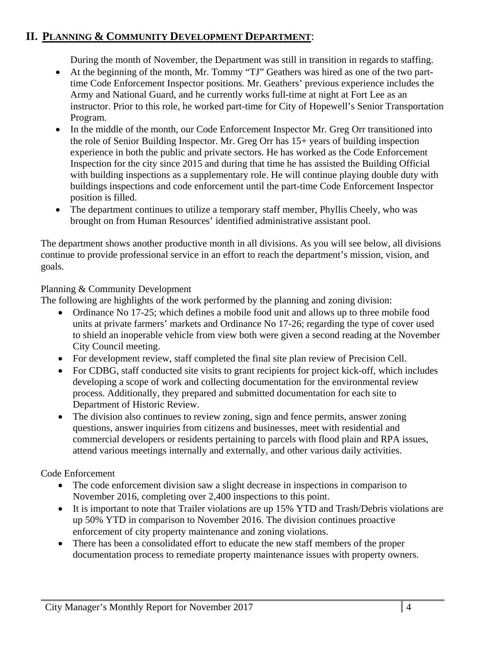## **II. PLANNING & COMMUNITY DEVELOPMENT DEPARTMENT**:

During the month of November, the Department was still in transition in regards to staffing.

- At the beginning of the month, Mr. Tommy "TJ" Geathers was hired as one of the two parttime Code Enforcement Inspector positions. Mr. Geathers' previous experience includes the Army and National Guard, and he currently works full-time at night at Fort Lee as an instructor. Prior to this role, he worked part-time for City of Hopewell's Senior Transportation Program.
- In the middle of the month, our Code Enforcement Inspector Mr. Greg Orr transitioned into the role of Senior Building Inspector. Mr. Greg Orr has 15+ years of building inspection experience in both the public and private sectors. He has worked as the Code Enforcement Inspection for the city since 2015 and during that time he has assisted the Building Official with building inspections as a supplementary role. He will continue playing double duty with buildings inspections and code enforcement until the part-time Code Enforcement Inspector position is filled.
- The department continues to utilize a temporary staff member, Phyllis Cheely, who was brought on from Human Resources' identified administrative assistant pool.

The department shows another productive month in all divisions. As you will see below, all divisions continue to provide professional service in an effort to reach the department's mission, vision, and goals.

## Planning & Community Development

The following are highlights of the work performed by the planning and zoning division:

- Ordinance No 17-25; which defines a mobile food unit and allows up to three mobile food units at private farmers' markets and Ordinance No 17-26; regarding the type of cover used to shield an inoperable vehicle from view both were given a second reading at the November City Council meeting.
- For development review, staff completed the final site plan review of Precision Cell.
- For CDBG, staff conducted site visits to grant recipients for project kick-off, which includes developing a scope of work and collecting documentation for the environmental review process. Additionally, they prepared and submitted documentation for each site to Department of Historic Review.
- The division also continues to review zoning, sign and fence permits, answer zoning questions, answer inquiries from citizens and businesses, meet with residential and commercial developers or residents pertaining to parcels with flood plain and RPA issues, attend various meetings internally and externally, and other various daily activities.

## Code Enforcement

- The code enforcement division saw a slight decrease in inspections in comparison to November 2016, completing over 2,400 inspections to this point.
- It is important to note that Trailer violations are up 15% YTD and Trash/Debris violations are up 50% YTD in comparison to November 2016. The division continues proactive enforcement of city property maintenance and zoning violations.
- There has been a consolidated effort to educate the new staff members of the proper documentation process to remediate property maintenance issues with property owners.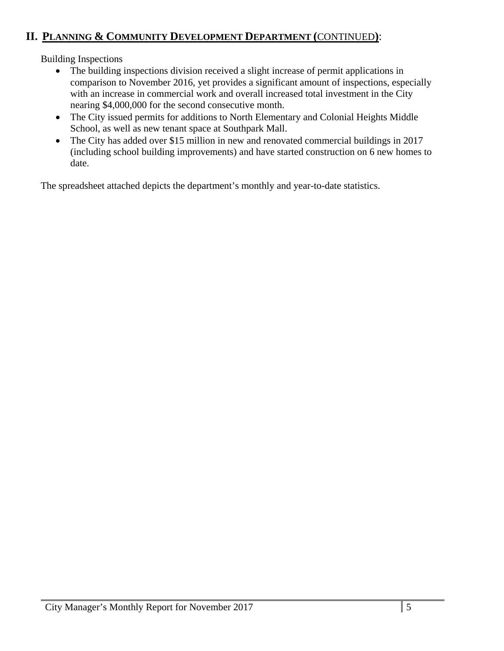# **II. PLANNING & COMMUNITY DEVELOPMENT DEPARTMENT (**CONTINUED**)**:

Building Inspections

- The building inspections division received a slight increase of permit applications in comparison to November 2016, yet provides a significant amount of inspections, especially with an increase in commercial work and overall increased total investment in the City nearing \$4,000,000 for the second consecutive month.
- The City issued permits for additions to North Elementary and Colonial Heights Middle School, as well as new tenant space at Southpark Mall.
- The City has added over \$15 million in new and renovated commercial buildings in 2017 (including school building improvements) and have started construction on 6 new homes to date.

The spreadsheet attached depicts the department's monthly and year-to-date statistics.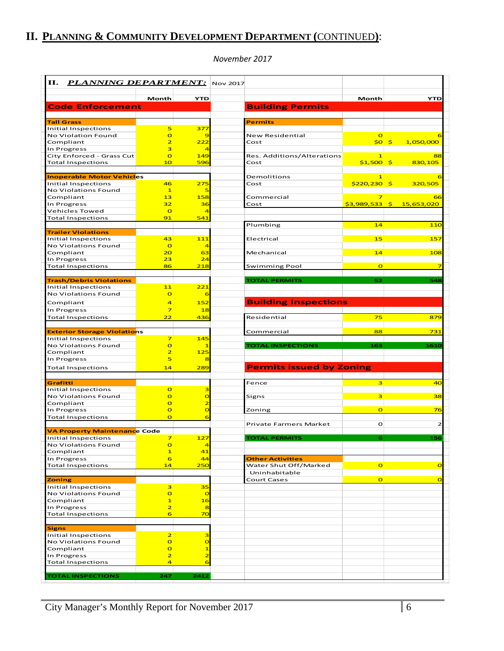# **II. PLANNING & COMMUNITY DEVELOPMENT DEPARTMENT (**CONTINUED**)**:

#### *November 2017*

| П.<br><b>PLANNING DEPARTMENT:</b> Nov 2017 |                                  |                                           |                                 |                |                           |
|--------------------------------------------|----------------------------------|-------------------------------------------|---------------------------------|----------------|---------------------------|
|                                            | Month                            | <b>YTD</b>                                |                                 | Month          | <b>YTD</b>                |
| <b>Code Enforcement</b>                    |                                  |                                           | <b>Building Permits</b>         |                |                           |
| <b>Tall Grass</b>                          |                                  |                                           | <b>Permits</b>                  |                |                           |
| Initial Inspections                        | 5                                | 377                                       |                                 |                |                           |
| No Violation Found                         | $\overline{O}$                   | 9                                         | New Residential                 | $\Omega$       |                           |
| Compliant                                  | $\overline{\mathbf{z}}$          | 222                                       | Cost                            | $$0$ \$        | 1,050,000                 |
| In Progress                                | 3                                | $\overline{4}$                            |                                 |                |                           |
| City Enforced - Grass Cut                  | $\overline{O}$                   | 149                                       | Res. Additions/Alterations      | $\mathbf{1}$   |                           |
| <b>Total Inspections</b>                   | 10                               | 596                                       | Cost                            | $$1,500$ \$    | 830,105                   |
| <b>Inoperable Motor Vehicles</b>           |                                  |                                           | <b>Demolitions</b>              | $\mathbf{1}$   |                           |
| Initial Inspections                        | 46                               | 275                                       | Cost                            | $$220,230$ \$  | 320,505                   |
| No Violations Found                        | $\mathbf{1}$                     | 5                                         |                                 |                |                           |
| Compliant                                  | 13                               | 158                                       | Commercial                      | $\overline{z}$ |                           |
| In Progress                                | 32                               | 36                                        | Cost                            |                | \$3,989,533 \$ 15,653,020 |
| Vehicles Towed                             | $\overline{O}$                   | $\overline{4}$                            |                                 |                |                           |
| <b>Total Inspections</b>                   | 91                               | 541                                       |                                 |                |                           |
| <b>Trailer Violations</b>                  |                                  |                                           | Plumbing                        | 14             | 110                       |
| Initial Inspections                        | 43                               | 111                                       | Electrical                      | 15             | 157                       |
| No Violations Found                        | $\overline{O}$                   | $\overline{4}$                            |                                 |                |                           |
| Compliant                                  | 20                               | 63                                        | Mechanical                      | 14             | 108                       |
| In Progress                                | 23                               | 24                                        |                                 |                |                           |
| <b>Total Inspections</b>                   | 86                               | 218                                       | Swimming Pool                   | $\mathbf{o}$   |                           |
|                                            |                                  |                                           |                                 |                |                           |
| <b>Trash/Debris Violations</b>             |                                  |                                           | <b>TOTAL PERMITS</b>            | 52             | 548                       |
| Initial Inspections<br>No Violations Found | 11<br>$\mathbf{o}$               | 221<br>6                                  |                                 |                |                           |
|                                            |                                  |                                           |                                 |                |                           |
| Compliant                                  | 4                                | 152                                       | <b>Building Inspections</b>     |                |                           |
| In Progress                                | $\overline{z}$                   | 18                                        |                                 |                |                           |
| <b>Total Inspections</b>                   | 22                               | 436                                       | Residential                     | 75             | 87 <sup>9</sup>           |
| <b>Exterior Storage Violations</b>         |                                  |                                           | Commercial                      | 88             | 731                       |
| Initial Inspections                        | $\overline{z}$                   | 145                                       |                                 |                |                           |
| No Violations Found                        | $\overline{O}$                   | $\mathbf{1}$                              | <b>TOTAL INSPECTIONS</b>        | 163            | 1610                      |
| Compliant                                  | $\overline{2}$                   | 125                                       |                                 |                |                           |
| In Progress                                | 5                                | 8                                         |                                 |                |                           |
| <b>Total Inspections</b>                   | 14                               | 289                                       | <b>Permits issued by Zoning</b> |                |                           |
|                                            |                                  |                                           |                                 |                |                           |
| Grafitti                                   |                                  |                                           | Fence                           | 3              |                           |
| Initial Inspections                        | $\overline{O}$                   | 3                                         |                                 |                |                           |
| No Violations Found                        | $\overline{O}$                   | $\overline{O}$                            | Signs                           | 3              |                           |
| Compliant<br>In Progress                   | $\overline{O}$<br>$\overline{O}$ | $\overline{\mathbf{z}}$<br>$\overline{O}$ |                                 | $\mathbf{o}$   |                           |
| <b>Total Inspections</b>                   | $\overline{O}$                   | 6                                         | Zoning                          |                |                           |
|                                            |                                  |                                           | Private Farmers Market          | $\mathbf{o}$   |                           |
| <b>VA Property Maintenance Code</b>        |                                  |                                           |                                 |                |                           |
| Initial Inspections                        | $\overline{\mathbf{z}}$          | 127                                       | <b>TOTAL PERMITS</b>            | 6              | 156                       |
| No Violations Found                        | $\overline{O}$                   |                                           |                                 |                |                           |
| Compliant                                  | $\mathbf{1}$                     | 41                                        |                                 |                |                           |
| In Progress                                | 6                                | 44                                        | <b>Other Activities</b>         |                |                           |
| <b>Total Inspections</b>                   | 14                               | 250                                       | Water Shut Off/Marked           | $\mathbf{o}$   |                           |
|                                            |                                  |                                           | Uninhabitable                   |                |                           |
| <b>Zoning</b>                              |                                  |                                           | Court Cases                     | $\overline{O}$ |                           |
| Initial Inspections<br>No Violations Found | 3<br>$\mathbf{o}$                | 35<br>$\overline{O}$                      |                                 |                |                           |
| Compliant                                  | $\mathbf{1}$                     | 16                                        |                                 |                |                           |
| In Progress                                | $\overline{\mathbf{z}}$          | 8                                         |                                 |                |                           |
| <b>Total Inspections</b>                   | 6                                | 70                                        |                                 |                |                           |
|                                            |                                  |                                           |                                 |                |                           |
| <b>Signs</b>                               |                                  |                                           |                                 |                |                           |
| Initial Inspections                        | $\overline{2}$                   | 3                                         |                                 |                |                           |
| No Violations Found                        | $\mathbf{o}$                     | $\overline{O}$                            |                                 |                |                           |
| Compliant                                  | $\overline{O}$                   | $\mathbf{1}$                              |                                 |                |                           |
|                                            |                                  |                                           |                                 |                |                           |
| In Progress                                | $\overline{2}$                   | $\overline{\mathbf{c}}$                   |                                 |                |                           |
| <b>Total Inspections</b>                   | $\overline{4}$                   | 6                                         |                                 |                |                           |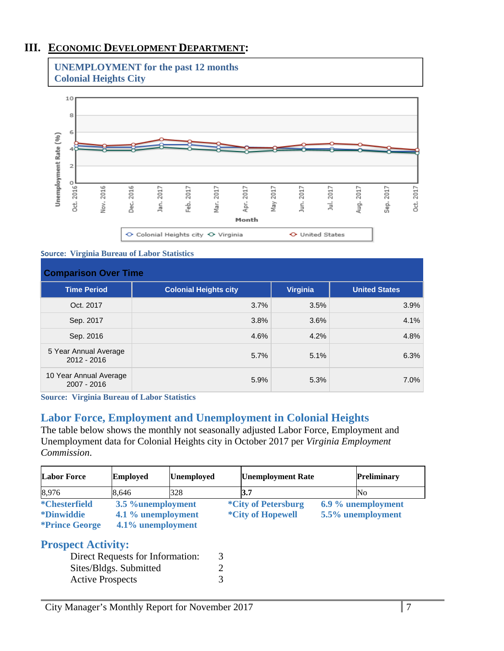## **III. ECONOMIC DEVELOPMENT DEPARTMENT:**





#### **Source: Virginia Bureau of Labor Statistics**

| <b>Comparison Over Time</b>           |                              |                 |                      |  |  |  |
|---------------------------------------|------------------------------|-----------------|----------------------|--|--|--|
| <b>Time Period</b>                    | <b>Colonial Heights city</b> | <b>Virginia</b> | <b>United States</b> |  |  |  |
| Oct. 2017                             | 3.7%                         | 3.5%            | 3.9%                 |  |  |  |
| Sep. 2017                             | 3.8%                         | 3.6%            | 4.1%                 |  |  |  |
| Sep. 2016                             | 4.6%                         | 4.2%            | 4.8%                 |  |  |  |
| 5 Year Annual Average<br>2012 - 2016  | 5.7%                         | 5.1%            | 6.3%                 |  |  |  |
| 10 Year Annual Average<br>2007 - 2016 | 5.9%                         | 5.3%            | 7.0%                 |  |  |  |

**Source: Virginia Bureau of Labor Statistics** 

### **Labor Force, Employment and Unemployment in Colonial Heights**

The table below shows the monthly not seasonally adjusted Labor Force, Employment and Unemployment data for Colonial Heights city in October 2017 per *Virginia Employment Commission*.

| <b>Labor Force</b>                                                         | <b>Employed</b>                                              | <b>Unemployed</b> | <b>Unemployment Rate</b>                               | <b>Preliminary</b>                      |
|----------------------------------------------------------------------------|--------------------------------------------------------------|-------------------|--------------------------------------------------------|-----------------------------------------|
| 8,976                                                                      | 8,646                                                        | 328               | 13.7                                                   | No                                      |
| <i>*</i> Chesterfield<br><i>*Dinwiddie</i><br><i><b>*Prince George</b></i> | 3.5 %unemployment<br>4.1 % unemployment<br>4.1% unemployment |                   | <i>*City of Petersburg</i><br><i>*City of Hopewell</i> | 6.9 % unemployment<br>5.5% unemployment |

## **Prospect Activity:**

| Direct Requests for Information: |  |
|----------------------------------|--|
| Sites/Bldgs. Submitted           |  |
| <b>Active Prospects</b>          |  |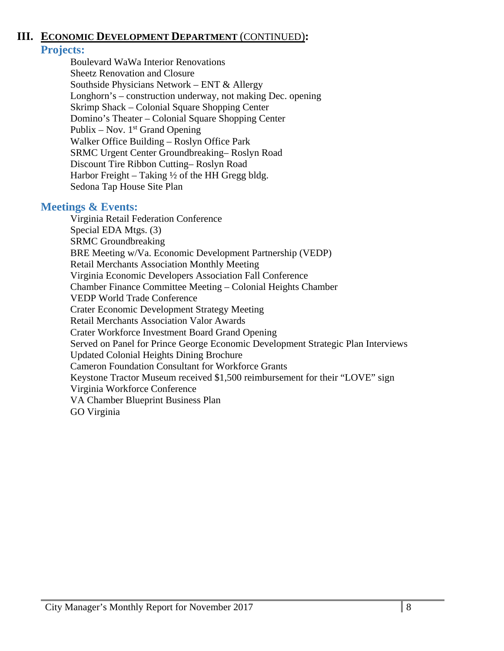## **III. ECONOMIC DEVELOPMENT DEPARTMENT** (CONTINUED)**:**

## **Projects:**

Boulevard WaWa Interior Renovations Sheetz Renovation and Closure Southside Physicians Network – ENT & Allergy Longhorn's – construction underway, not making Dec. opening Skrimp Shack – Colonial Square Shopping Center Domino's Theater – Colonial Square Shopping Center Publix – Nov.  $1<sup>st</sup>$  Grand Opening Walker Office Building – Roslyn Office Park SRMC Urgent Center Groundbreaking– Roslyn Road Discount Tire Ribbon Cutting– Roslyn Road Harbor Freight – Taking  $\frac{1}{2}$  of the HH Gregg bldg. Sedona Tap House Site Plan

### **Meetings & Events:**

 Virginia Retail Federation Conference Special EDA Mtgs. (3) SRMC Groundbreaking BRE Meeting w/Va. Economic Development Partnership (VEDP) Retail Merchants Association Monthly Meeting Virginia Economic Developers Association Fall Conference Chamber Finance Committee Meeting – Colonial Heights Chamber VEDP World Trade Conference Crater Economic Development Strategy Meeting Retail Merchants Association Valor Awards Crater Workforce Investment Board Grand Opening Served on Panel for Prince George Economic Development Strategic Plan Interviews Updated Colonial Heights Dining Brochure Cameron Foundation Consultant for Workforce Grants Keystone Tractor Museum received \$1,500 reimbursement for their "LOVE" sign Virginia Workforce Conference VA Chamber Blueprint Business Plan GO Virginia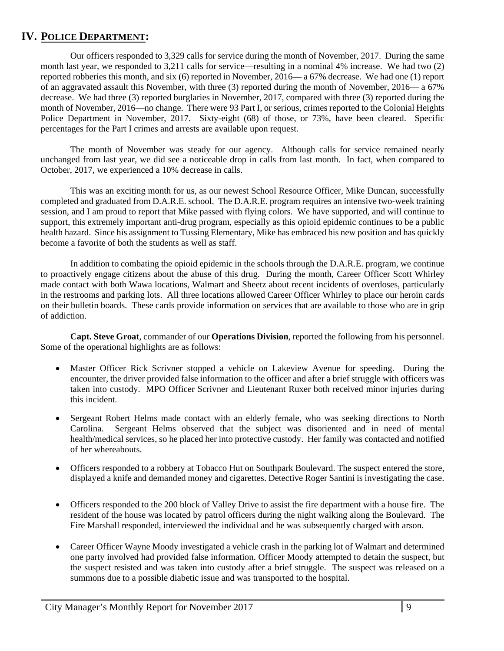## **IV. POLICE DEPARTMENT:**

 Our officers responded to 3,329 calls for service during the month of November, 2017. During the same month last year, we responded to 3,211 calls for service—resulting in a nominal 4% increase. We had two (2) reported robberies this month, and six (6) reported in November, 2016— a 67% decrease. We had one (1) report of an aggravated assault this November, with three (3) reported during the month of November, 2016— a 67% decrease. We had three (3) reported burglaries in November, 2017, compared with three (3) reported during the month of November, 2016—no change. There were 93 Part I, or serious, crimes reported to the Colonial Heights Police Department in November, 2017. Sixty-eight (68) of those, or 73%, have been cleared. Specific percentages for the Part I crimes and arrests are available upon request.

The month of November was steady for our agency. Although calls for service remained nearly unchanged from last year, we did see a noticeable drop in calls from last month. In fact, when compared to October, 2017, we experienced a 10% decrease in calls.

This was an exciting month for us, as our newest School Resource Officer, Mike Duncan, successfully completed and graduated from D.A.R.E. school. The D.A.R.E. program requires an intensive two-week training session, and I am proud to report that Mike passed with flying colors. We have supported, and will continue to support, this extremely important anti-drug program, especially as this opioid epidemic continues to be a public health hazard. Since his assignment to Tussing Elementary, Mike has embraced his new position and has quickly become a favorite of both the students as well as staff.

In addition to combating the opioid epidemic in the schools through the D.A.R.E. program, we continue to proactively engage citizens about the abuse of this drug. During the month, Career Officer Scott Whirley made contact with both Wawa locations, Walmart and Sheetz about recent incidents of overdoses, particularly in the restrooms and parking lots. All three locations allowed Career Officer Whirley to place our heroin cards on their bulletin boards. These cards provide information on services that are available to those who are in grip of addiction.

**Capt. Steve Groat**, commander of our **Operations Division**, reported the following from his personnel. Some of the operational highlights are as follows:

- Master Officer Rick Scrivner stopped a vehicle on Lakeview Avenue for speeding. During the encounter, the driver provided false information to the officer and after a brief struggle with officers was taken into custody. MPO Officer Scrivner and Lieutenant Ruxer both received minor injuries during this incident.
- Sergeant Robert Helms made contact with an elderly female, who was seeking directions to North Carolina. Sergeant Helms observed that the subject was disoriented and in need of mental health/medical services, so he placed her into protective custody. Her family was contacted and notified of her whereabouts.
- Officers responded to a robbery at Tobacco Hut on Southpark Boulevard. The suspect entered the store, displayed a knife and demanded money and cigarettes. Detective Roger Santini is investigating the case.
- Officers responded to the 200 block of Valley Drive to assist the fire department with a house fire. The resident of the house was located by patrol officers during the night walking along the Boulevard. The Fire Marshall responded, interviewed the individual and he was subsequently charged with arson.
- Career Officer Wayne Moody investigated a vehicle crash in the parking lot of Walmart and determined one party involved had provided false information. Officer Moody attempted to detain the suspect, but the suspect resisted and was taken into custody after a brief struggle. The suspect was released on a summons due to a possible diabetic issue and was transported to the hospital.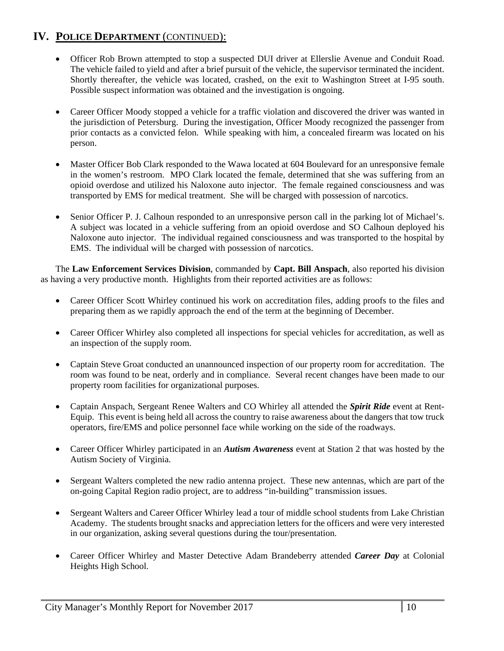- Officer Rob Brown attempted to stop a suspected DUI driver at Ellerslie Avenue and Conduit Road. The vehicle failed to yield and after a brief pursuit of the vehicle, the supervisor terminated the incident. Shortly thereafter, the vehicle was located, crashed, on the exit to Washington Street at I-95 south. Possible suspect information was obtained and the investigation is ongoing.
- Career Officer Moody stopped a vehicle for a traffic violation and discovered the driver was wanted in the jurisdiction of Petersburg. During the investigation, Officer Moody recognized the passenger from prior contacts as a convicted felon. While speaking with him, a concealed firearm was located on his person.
- Master Officer Bob Clark responded to the Wawa located at 604 Boulevard for an unresponsive female in the women's restroom. MPO Clark located the female, determined that she was suffering from an opioid overdose and utilized his Naloxone auto injector. The female regained consciousness and was transported by EMS for medical treatment. She will be charged with possession of narcotics.
- Senior Officer P. J. Calhoun responded to an unresponsive person call in the parking lot of Michael's. A subject was located in a vehicle suffering from an opioid overdose and SO Calhoun deployed his Naloxone auto injector. The individual regained consciousness and was transported to the hospital by EMS. The individual will be charged with possession of narcotics.

The **Law Enforcement Services Division**, commanded by **Capt. Bill Anspach**, also reported his division as having a very productive month. Highlights from their reported activities are as follows:

- Career Officer Scott Whirley continued his work on accreditation files, adding proofs to the files and preparing them as we rapidly approach the end of the term at the beginning of December.
- Career Officer Whirley also completed all inspections for special vehicles for accreditation, as well as an inspection of the supply room.
- Captain Steve Groat conducted an unannounced inspection of our property room for accreditation. The room was found to be neat, orderly and in compliance. Several recent changes have been made to our property room facilities for organizational purposes.
- Captain Anspach, Sergeant Renee Walters and CO Whirley all attended the *Spirit Ride* event at Rent-Equip. This event is being held all across the country to raise awareness about the dangers that tow truck operators, fire/EMS and police personnel face while working on the side of the roadways.
- Career Officer Whirley participated in an *Autism Awareness* event at Station 2 that was hosted by the Autism Society of Virginia.
- Sergeant Walters completed the new radio antenna project. These new antennas, which are part of the on-going Capital Region radio project, are to address "in-building" transmission issues.
- Sergeant Walters and Career Officer Whirley lead a tour of middle school students from Lake Christian Academy. The students brought snacks and appreciation letters for the officers and were very interested in our organization, asking several questions during the tour/presentation.
- Career Officer Whirley and Master Detective Adam Brandeberry attended *Career Day* at Colonial Heights High School.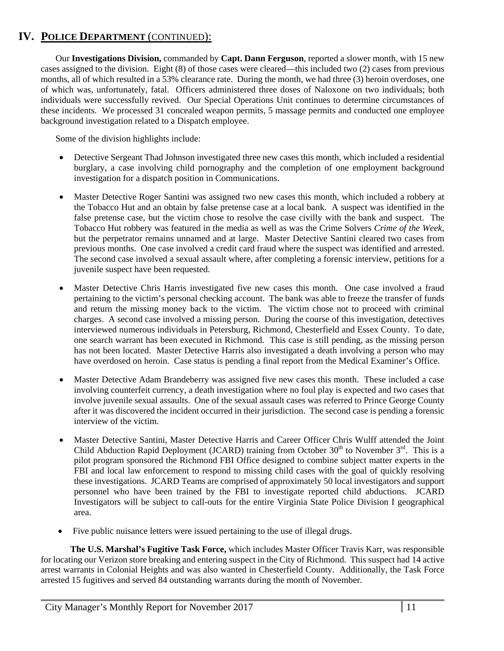Our **Investigations Division,** commanded by **Capt. Dann Ferguson**, reported a slower month, with 15 new cases assigned to the division. Eight (8) of those cases were cleared—this included two (2) cases from previous months, all of which resulted in a 53% clearance rate. During the month, we had three (3) heroin overdoses, one of which was, unfortunately, fatal. Officers administered three doses of Naloxone on two individuals; both individuals were successfully revived. Our Special Operations Unit continues to determine circumstances of these incidents. We processed 31 concealed weapon permits, 5 massage permits and conducted one employee background investigation related to a Dispatch employee.

Some of the division highlights include:

- Detective Sergeant Thad Johnson investigated three new cases this month, which included a residential burglary, a case involving child pornography and the completion of one employment background investigation for a dispatch position in Communications.
- Master Detective Roger Santini was assigned two new cases this month, which included a robbery at the Tobacco Hut and an obtain by false pretense case at a local bank. A suspect was identified in the false pretense case, but the victim chose to resolve the case civilly with the bank and suspect. The Tobacco Hut robbery was featured in the media as well as was the Crime Solvers *Crime of the Week*, but the perpetrator remains unnamed and at large. Master Detective Santini cleared two cases from previous months. One case involved a credit card fraud where the suspect was identified and arrested. The second case involved a sexual assault where, after completing a forensic interview, petitions for a juvenile suspect have been requested.
- Master Detective Chris Harris investigated five new cases this month. One case involved a fraud pertaining to the victim's personal checking account. The bank was able to freeze the transfer of funds and return the missing money back to the victim. The victim chose not to proceed with criminal charges. A second case involved a missing person. During the course of this investigation, detectives interviewed numerous individuals in Petersburg, Richmond, Chesterfield and Essex County. To date, one search warrant has been executed in Richmond. This case is still pending, as the missing person has not been located. Master Detective Harris also investigated a death involving a person who may have overdosed on heroin. Case status is pending a final report from the Medical Examiner's Office.
- Master Detective Adam Brandeberry was assigned five new cases this month. These included a case involving counterfeit currency, a death investigation where no foul play is expected and two cases that involve juvenile sexual assaults. One of the sexual assault cases was referred to Prince George County after it was discovered the incident occurred in their jurisdiction. The second case is pending a forensic interview of the victim.
- Master Detective Santini, Master Detective Harris and Career Officer Chris Wulff attended the Joint Child Abduction Rapid Deployment (JCARD) training from October  $30<sup>th</sup>$  to November  $3<sup>rd</sup>$ . This is a pilot program sponsored the Richmond FBI Office designed to combine subject matter experts in the FBI and local law enforcement to respond to missing child cases with the goal of quickly resolving these investigations. JCARD Teams are comprised of approximately 50 local investigators and support personnel who have been trained by the FBI to investigate reported child abductions. JCARD Investigators will be subject to call-outs for the entire Virginia State Police Division I geographical area.
- Five public nuisance letters were issued pertaining to the use of illegal drugs.

**The U.S. Marshal's Fugitive Task Force,** which includes Master Officer Travis Karr, was responsible for locating our Verizon store breaking and entering suspect in the City of Richmond. This suspect had 14 active arrest warrants in Colonial Heights and was also wanted in Chesterfield County. Additionally, the Task Force arrested 15 fugitives and served 84 outstanding warrants during the month of November.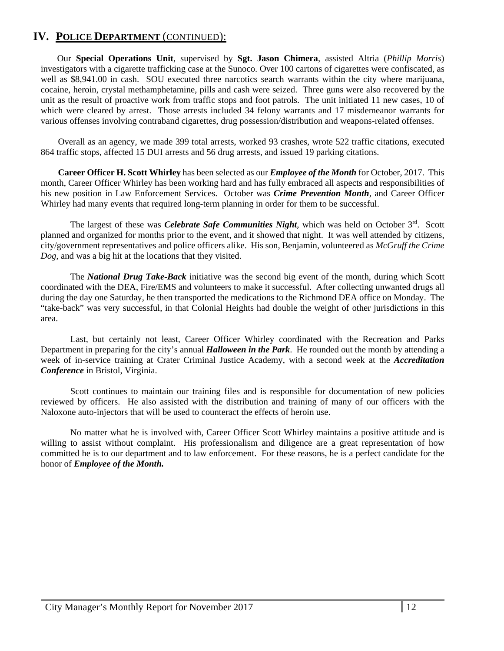Our **Special Operations Unit**, supervised by **Sgt. Jason Chimera**, assisted Altria (*Phillip Morris*) investigators with a cigarette trafficking case at the Sunoco. Over 100 cartons of cigarettes were confiscated, as well as \$8,941.00 in cash. SOU executed three narcotics search warrants within the city where marijuana, cocaine, heroin, crystal methamphetamine, pills and cash were seized. Three guns were also recovered by the unit as the result of proactive work from traffic stops and foot patrols. The unit initiated 11 new cases, 10 of which were cleared by arrest. Those arrests included 34 felony warrants and 17 misdemeanor warrants for various offenses involving contraband cigarettes, drug possession/distribution and weapons-related offenses.

Overall as an agency, we made 399 total arrests, worked 93 crashes, wrote 522 traffic citations, executed 864 traffic stops, affected 15 DUI arrests and 56 drug arrests, and issued 19 parking citations.

**Career Officer H. Scott Whirley** has been selected as our *Employee of the Month* for October, 2017. This month, Career Officer Whirley has been working hard and has fully embraced all aspects and responsibilities of his new position in Law Enforcement Services. October was *Crime Prevention Month*, and Career Officer Whirley had many events that required long-term planning in order for them to be successful.

The largest of these was *Celebrate Safe Communities Night*, which was held on October 3<sup>rd</sup>. Scott planned and organized for months prior to the event, and it showed that night. It was well attended by citizens, city/government representatives and police officers alike. His son, Benjamin, volunteered as *McGruff the Crime Dog*, and was a big hit at the locations that they visited.

The *National Drug Take-Back* initiative was the second big event of the month, during which Scott coordinated with the DEA, Fire/EMS and volunteers to make it successful. After collecting unwanted drugs all during the day one Saturday, he then transported the medications to the Richmond DEA office on Monday. The "take-back" was very successful, in that Colonial Heights had double the weight of other jurisdictions in this area.

Last, but certainly not least, Career Officer Whirley coordinated with the Recreation and Parks Department in preparing for the city's annual *Halloween in the Park*. He rounded out the month by attending a week of in-service training at Crater Criminal Justice Academy, with a second week at the *Accreditation Conference* in Bristol, Virginia.

Scott continues to maintain our training files and is responsible for documentation of new policies reviewed by officers. He also assisted with the distribution and training of many of our officers with the Naloxone auto-injectors that will be used to counteract the effects of heroin use.

No matter what he is involved with, Career Officer Scott Whirley maintains a positive attitude and is willing to assist without complaint. His professionalism and diligence are a great representation of how committed he is to our department and to law enforcement. For these reasons, he is a perfect candidate for the honor of *Employee of the Month.*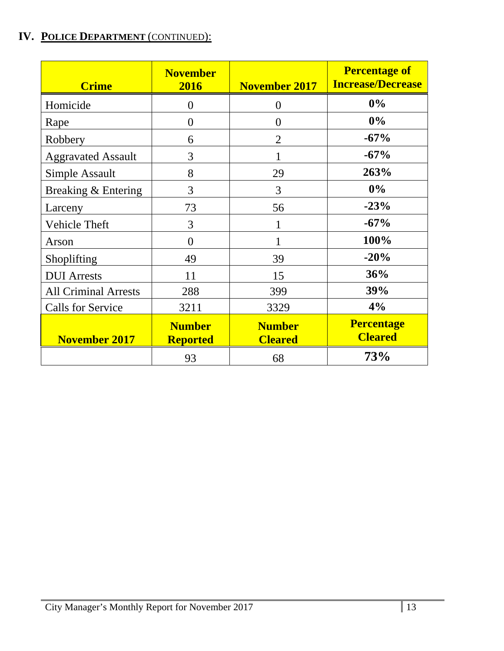| <b>Crime</b>                | <b>November</b><br>2016          | <b>November 2017</b>            | <b>Percentage of</b><br><b>Increase/Decrease</b> |
|-----------------------------|----------------------------------|---------------------------------|--------------------------------------------------|
| Homicide                    | $\theta$                         | $\overline{0}$                  | $0\%$                                            |
| Rape                        | $\theta$                         | $\overline{0}$                  | $0\%$                                            |
| Robbery                     | 6                                | $\overline{2}$                  | $-67%$                                           |
| <b>Aggravated Assault</b>   | 3                                |                                 | $-67%$                                           |
| Simple Assault              | 8                                | 29                              | 263%                                             |
| Breaking & Entering         | 3                                | 3                               | $0\%$                                            |
| Larceny                     | 73                               | 56                              | $-23%$                                           |
| Vehicle Theft               | 3                                | 1                               | $-67%$                                           |
| Arson                       | $\theta$                         | 1                               | 100%                                             |
| Shoplifting                 | 49                               | 39                              | $-20%$                                           |
| <b>DUI</b> Arrests          | 11                               | 15                              | 36%                                              |
| <b>All Criminal Arrests</b> | 288                              | 399                             | 39%                                              |
| <b>Calls for Service</b>    | 3211                             | 3329                            | 4%                                               |
| <b>November 2017</b>        | <b>Number</b><br><b>Reported</b> | <b>Number</b><br><b>Cleared</b> | <b>Percentage</b><br><b>Cleared</b>              |
|                             | 93                               | 68                              | 73%                                              |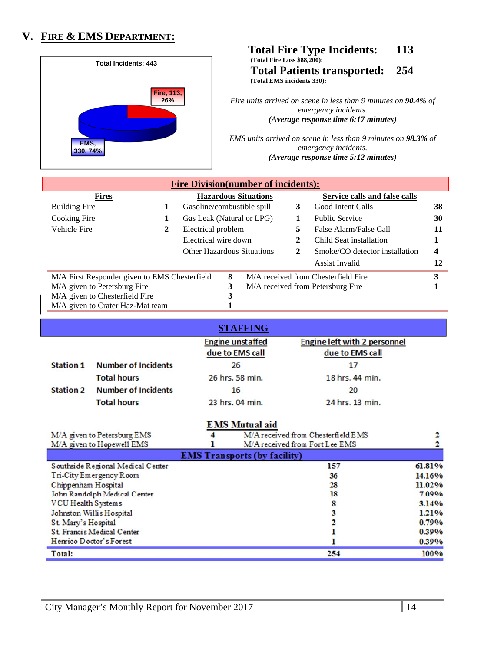## **V. FIRE & EMS DEPARTMENT:**



#### **Total Fire Type Incidents: 113 (Total Fire Loss \$88,200): Total Patients transported: 254 (Total EMS incidents 330):**

*Fire units arrived on scene in less than 9 minutes on 90.4% of emergency incidents. (Average response time 6:17 minutes)* 

*EMS units arrived on scene in less than 9 minutes on 98.3% of emergency incidents. (Average response time 5:12 minutes)* 

| <b>Fire Division (number of incidents):</b>   |   |                                   |   |                             |    |                                     |    |
|-----------------------------------------------|---|-----------------------------------|---|-----------------------------|----|-------------------------------------|----|
| <b>Fires</b>                                  |   |                                   |   | <b>Hazardous Situations</b> |    | Service calls and false calls       |    |
| Building Fire                                 | 1 | Gasoline/combustible spill        |   |                             | 3  | Good Intent Calls                   | 38 |
| Cooking Fire                                  | 1 | Gas Leak (Natural or LPG)         |   |                             |    | <b>Public Service</b>               | 30 |
| Vehicle Fire                                  | 2 | Electrical problem                |   |                             | 5. | False Alarm/False Call              | 11 |
|                                               |   | Electrical wire down              |   |                             |    | Child Seat installation             |    |
|                                               |   | <b>Other Hazardous Situations</b> |   |                             | 2  | Smoke/CO detector installation      | 4  |
|                                               |   |                                   |   |                             |    | Assist Invalid                      | 12 |
| M/A First Responder given to EMS Chesterfield |   |                                   | 8 |                             |    | M/A received from Chesterfield Fire | 3  |
| M/A given to Petersburg Fire                  |   |                                   | 3 |                             |    | M/A received from Petersburg Fire   |    |
| M/A given to Chesterfield Fire                |   |                                   | 3 |                             |    |                                     |    |
| M/A given to Crater Haz-Mat team              |   |                                   |   |                             |    |                                     |    |

|                  |                            | <b>STAFFING</b>                            |                                                        |
|------------------|----------------------------|--------------------------------------------|--------------------------------------------------------|
|                  |                            | <b>Engine unstaffed</b><br>due to EMS call | <b>Engine left with 2 personnel</b><br>due to EMS call |
| <b>Station 1</b> | <b>Number of Incidents</b> | 26                                         | 17                                                     |
|                  | <b>Total hours</b>         | 26 hrs. 58 min.                            | 18 hrs. 44 min.                                        |
| <b>Station 2</b> | <b>Number of Incidents</b> | 16                                         | 20                                                     |
|                  | <b>Total hours</b>         | 23 hrs. 04 min.                            | 24 hrs. 13 min.                                        |

|                                   | <b>EMS</b> Mutual aid               |          |
|-----------------------------------|-------------------------------------|----------|
| M/A given to Petersburg EMS       | M/A received from Chesterfield EMS  |          |
| M/A given to Hopewell EMS         | M/A received from Fort Lee EMS      |          |
|                                   | <b>EMS Transports (by facility)</b> |          |
| Southside Regional Medical Center | 157                                 | 61.81%   |
| Tri-City Emergency Room           | 36                                  | 14.16%   |
| Chippenham Hospital               | 28                                  | 11.02%   |
| John Randolph Medical Center      | 18                                  | 7.09%    |
| VCU Health Systems                |                                     | 3.14%    |
| Johnston Willis Hospital          |                                     | 1.21%    |
| St Mary's Hospital                |                                     | 0.79%    |
| St. Francis Medical Center        |                                     | $0.39\%$ |
| Henrico Doctor's Forest           |                                     | 0.39%    |
| Total:                            | 254                                 | 100%     |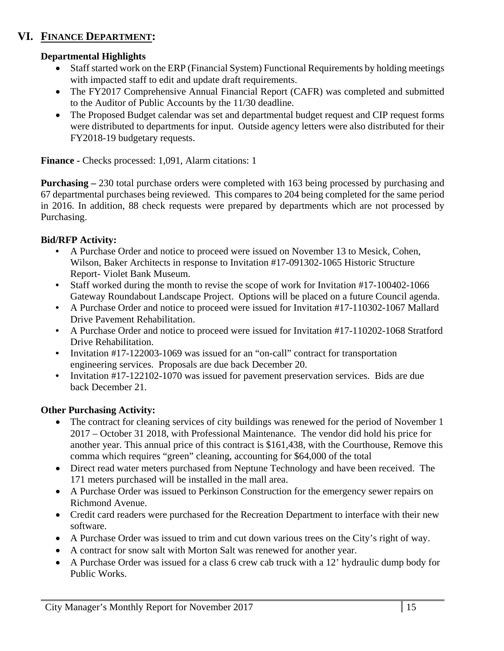# **VI. FINANCE DEPARTMENT:**

## **Departmental Highlights**

- Staff started work on the ERP (Financial System) Functional Requirements by holding meetings with impacted staff to edit and update draft requirements.
- The FY2017 Comprehensive Annual Financial Report (CAFR) was completed and submitted to the Auditor of Public Accounts by the 11/30 deadline.
- The Proposed Budget calendar was set and departmental budget request and CIP request forms were distributed to departments for input. Outside agency letters were also distributed for their FY2018-19 budgetary requests.

**Finance -** Checks processed: 1,091, Alarm citations: 1

**Purchasing –** 230 total purchase orders were completed with 163 being processed by purchasing and 67 departmental purchases being reviewed. This compares to 204 being completed for the same period in 2016. In addition, 88 check requests were prepared by departments which are not processed by Purchasing.

## **Bid/RFP Activity:**

- **•** A Purchase Order and notice to proceed were issued on November 13 to Mesick, Cohen, Wilson, Baker Architects in response to Invitation #17-091302-1065 Historic Structure Report- Violet Bank Museum.
- Staff worked during the month to revise the scope of work for Invitation #17-100402-1066 Gateway Roundabout Landscape Project. Options will be placed on a future Council agenda.
- **•** A Purchase Order and notice to proceed were issued for Invitation #17-110302-1067 Mallard Drive Pavement Rehabilitation.
- **•** A Purchase Order and notice to proceed were issued for Invitation #17-110202-1068 Stratford Drive Rehabilitation.
- Invitation #17-122003-1069 was issued for an "on-call" contract for transportation engineering services. Proposals are due back December 20.
- **•** Invitation #17-122102-1070 was issued for pavement preservation services. Bids are due back December 21.

### **Other Purchasing Activity:**

- The contract for cleaning services of city buildings was renewed for the period of November 1 2017 – October 31 2018, with Professional Maintenance. The vendor did hold his price for another year. This annual price of this contract is \$161,438, with the Courthouse, Remove this comma which requires "green" cleaning, accounting for \$64,000 of the total
- Direct read water meters purchased from Neptune Technology and have been received. The 171 meters purchased will be installed in the mall area.
- A Purchase Order was issued to Perkinson Construction for the emergency sewer repairs on Richmond Avenue.
- Credit card readers were purchased for the Recreation Department to interface with their new software.
- A Purchase Order was issued to trim and cut down various trees on the City's right of way.
- A contract for snow salt with Morton Salt was renewed for another year.
- A Purchase Order was issued for a class 6 crew cab truck with a 12' hydraulic dump body for Public Works.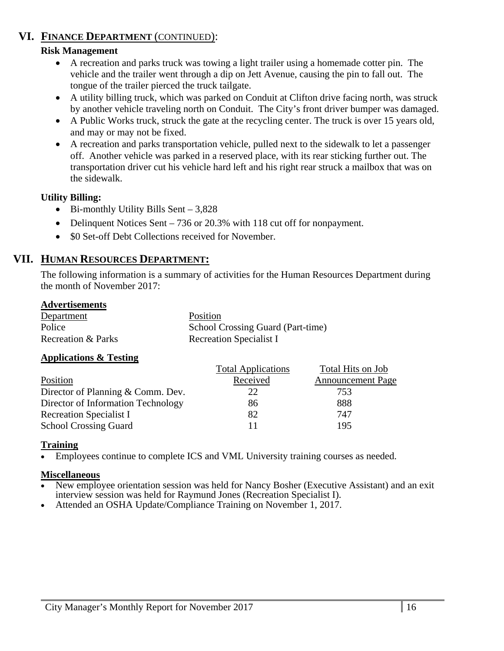## **VI. FINANCE DEPARTMENT** (CONTINUED):

### **Risk Management**

- A recreation and parks truck was towing a light trailer using a homemade cotter pin. The vehicle and the trailer went through a dip on Jett Avenue, causing the pin to fall out. The tongue of the trailer pierced the truck tailgate.
- A utility billing truck, which was parked on Conduit at Clifton drive facing north, was struck by another vehicle traveling north on Conduit. The City's front driver bumper was damaged.
- A Public Works truck, struck the gate at the recycling center. The truck is over 15 years old, and may or may not be fixed.
- A recreation and parks transportation vehicle, pulled next to the sidewalk to let a passenger off. Another vehicle was parked in a reserved place, with its rear sticking further out. The transportation driver cut his vehicle hard left and his right rear struck a mailbox that was on the sidewalk.

### **Utility Billing:**

- $\bullet$  Bi-monthly Utility Bills Sent 3,828
- Delinquent Notices Sent 736 or 20.3% with 118 cut off for nonpayment.
- \$0 Set-off Debt Collections received for November.

## **VII. HUMAN RESOURCES DEPARTMENT:**

The following information is a summary of activities for the Human Resources Department during the month of November 2017:

### **Advertisements**

| Department                    | Position                          |
|-------------------------------|-----------------------------------|
| Police                        | School Crossing Guard (Part-time) |
| <b>Recreation &amp; Parks</b> | <b>Recreation Specialist I</b>    |

### **Applications & Testing**

|                                    | <b>Total Applications</b> | Total Hits on Job        |
|------------------------------------|---------------------------|--------------------------|
| Position                           | Received                  | <b>Announcement Page</b> |
| Director of Planning & Comm. Dev.  | 22                        | 753                      |
| Director of Information Technology | 86                        | 888                      |
| <b>Recreation Specialist I</b>     | 82                        | 747                      |
| <b>School Crossing Guard</b>       | 11                        | 195                      |

### **Training**

Employees continue to complete ICS and VML University training courses as needed.

### **Miscellaneous**

- New employee orientation session was held for Nancy Bosher (Executive Assistant) and an exit interview session was held for Raymund Jones (Recreation Specialist I).
- Attended an OSHA Update/Compliance Training on November 1, 2017.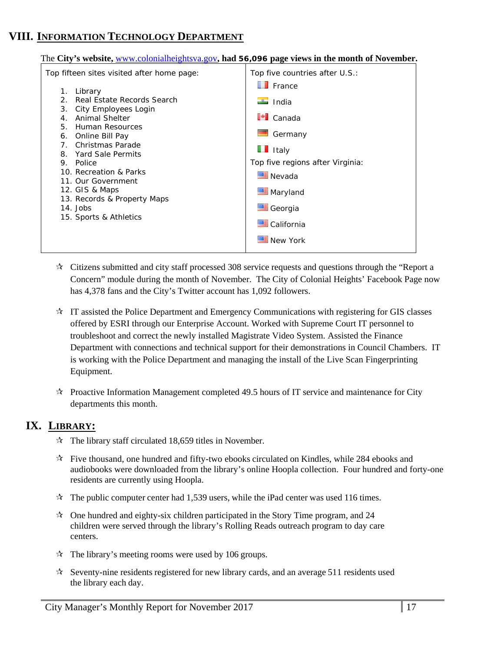## **VIII. INFORMATION TECHNOLOGY DEPARTMENT**

The **City's website,** www.colonialheightsva.gov**, had 56,096 page views in the month of November.**

| Top fifteen sites visited after home page:                                                                                                                                                                                                                                                                                                                                          | Top five countries after U.S.:                                                                                                                                                                                                                                                                                                                                                                                                         |
|-------------------------------------------------------------------------------------------------------------------------------------------------------------------------------------------------------------------------------------------------------------------------------------------------------------------------------------------------------------------------------------|----------------------------------------------------------------------------------------------------------------------------------------------------------------------------------------------------------------------------------------------------------------------------------------------------------------------------------------------------------------------------------------------------------------------------------------|
| 1.<br>Library<br>Real Estate Records Search<br>$\mathcal{P}$<br>3.<br>City Employees Login<br>Animal Shelter<br>4.<br>5.<br>Human Resources<br>6. Online Bill Pay<br>Christmas Parade<br>$7_{\odot}$<br>8. Yard Sale Permits<br>Police<br>9.<br>10. Recreation & Parks<br>11. Our Government<br>12. GIS & Maps<br>13. Records & Property Maps<br>14. Jobs<br>15. Sports & Athletics | $\blacksquare$ France<br>a India<br>$\blacksquare$ Canada<br>and the second second second second second second second second second second second second second second second second second second second second second second second second second second second second second second seco<br>Germany<br>$\blacksquare$ Italy<br>Top five regions after Virginia:<br>Nevada<br>Maryland<br>Georgia<br><b>■ California</b><br>New York |
|                                                                                                                                                                                                                                                                                                                                                                                     |                                                                                                                                                                                                                                                                                                                                                                                                                                        |

- Citizens submitted and city staff processed 308 service requests and questions through the "Report a Concern" module during the month of November. The City of Colonial Heights' Facebook Page now has 4,378 fans and the City's Twitter account has 1,092 followers.
- $\star$  IT assisted the Police Department and Emergency Communications with registering for GIS classes offered by ESRI through our Enterprise Account. Worked with Supreme Court IT personnel to troubleshoot and correct the newly installed Magistrate Video System. Assisted the Finance Department with connections and technical support for their demonstrations in Council Chambers. IT is working with the Police Department and managing the install of the Live Scan Fingerprinting Equipment.
- $\mathcal{R}$  Proactive Information Management completed 49.5 hours of IT service and maintenance for City departments this month.

### **IX. LIBRARY:**

- $\approx$  The library staff circulated 18,659 titles in November.
- $\dot{\mathcal{R}}$  Five thousand, one hundred and fifty-two ebooks circulated on Kindles, while 284 ebooks and audiobooks were downloaded from the library's online Hoopla collection. Four hundred and forty-one residents are currently using Hoopla.
- $\star$  The public computer center had 1,539 users, while the iPad center was used 116 times.
- $\approx$  One hundred and eighty-six children participated in the Story Time program, and 24 children were served through the library's Rolling Reads outreach program to day care centers.
- $\approx$  The library's meeting rooms were used by 106 groups.
- $\star$  Seventy-nine residents registered for new library cards, and an average 511 residents used the library each day.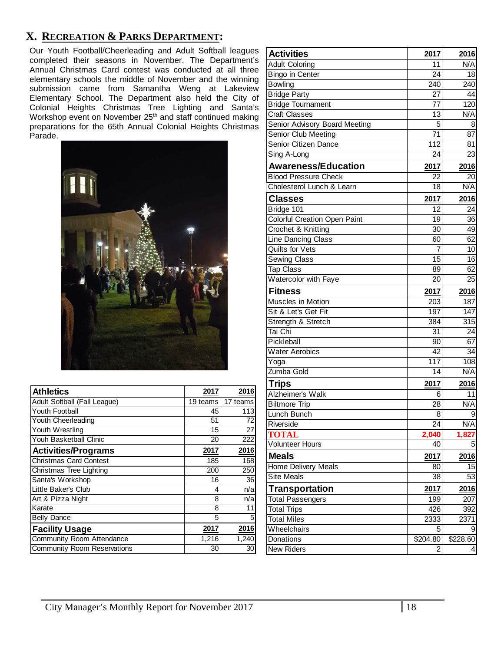## **X. RECREATION & PARKS DEPARTMENT:**

Our Youth Football/Cheerleading and Adult Softball leagues completed their seasons in November. The Department's Annual Christmas Card contest was conducted at all three elementary schools the middle of November and the winning submission came from Samantha Weng at Lakeview Elementary School. The Department also held the City of Colonial Heights Christmas Tree Lighting and Santa's Workshop event on November 25<sup>th</sup> and staff continued making preparations for the 65th Annual Colonial Heights Christmas Parade.



| <b>Athletics</b>                   | 2017     | 2016     |
|------------------------------------|----------|----------|
| Adult Softball (Fall League)       | 19 teams | 17 teams |
| Youth Football                     | 45       | 113      |
| Youth Cheerleading                 | 51       | 72       |
| Youth Wrestling                    | 15       | 27       |
| Youh Basketball Clinic             | 20       | 222      |
| <b>Activities/Programs</b>         | 2017     | 2016     |
| <b>Christmas Card Contest</b>      | 185      | 168      |
| Christmas Tree Lighting            | 200      | 250      |
| Santa's Workshop                   | 16       | 36       |
| Little Baker's Club                | 4        | n/a      |
| Art & Pizza Night                  | 8        | n/a      |
| Karate                             | 8        | 11       |
| <b>Belly Dance</b>                 | 5        | 5        |
| <b>Facility Usage</b>              | 2017     | 2016     |
| Community Room Attendance          | 1,216    | 1,240    |
| <b>Community Room Reservations</b> | 30       | 30       |

| <b>Activities</b>                        | 2017             | 2016             |
|------------------------------------------|------------------|------------------|
| <b>Adult Coloring</b>                    | 11               | N/A              |
| <b>Bingo in Center</b>                   | 24               | 18               |
| <b>Bowling</b>                           | 240              | 240              |
| <b>Bridge Party</b>                      | 27               | 44               |
| <b>Bridge Tournament</b>                 | 77               | 120              |
| <b>Craft Classes</b>                     | 13               | N/A              |
| Senior Advisory Board Meeting            | 5                | 8                |
| Senior Club Meeting                      | $\overline{71}$  | 87               |
| Senior Citizen Dance                     | $\overline{112}$ | 81               |
| Sing A-Long                              | 24               | 23               |
| <b>Awareness/Education</b>               | 2017             | 2016             |
| <b>Blood Pressure Check</b>              | 22               | 20               |
| Cholesterol Lunch & Learn                | 18               | N/A              |
| <b>Classes</b>                           | 2017             | 2016             |
| Bridge 101                               | 12               | 24               |
| <b>Colorful Creation Open Paint</b>      | 19               | 36               |
| Crochet & Knitting                       | $\overline{30}$  | 49               |
| <b>Line Dancing Class</b>                | 60               | 62               |
| <b>Quilts for Vets</b>                   | 7                | 10               |
| <b>Sewing Class</b>                      | $\overline{15}$  | 16               |
| <b>Tap Class</b>                         | 89               | 62               |
| <b>Watercolor with Faye</b>              | 20               | 25               |
| <b>Fitness</b>                           | 2017             | 2016             |
| Muscles in Motion                        | 203              | 187              |
| Sit & Let's Get Fit                      | 197              | 147              |
| Strength & Stretch                       | 384              | 315              |
| Tai Chi                                  | 31               | 24               |
| Pickleball                               | 90               | 67               |
| <b>Water Aerobics</b>                    | 42               | $\overline{34}$  |
| Yoga                                     | 117              | 108              |
| Zumba Gold                               | 14               | N/A              |
| <b>Trips</b>                             | 2017             | 2016             |
| Alzheimer's Walk                         | 6                | 11               |
| <b>Biltmore Trip</b>                     | 28               | N/A              |
| Lunch Bunch                              | 8                | 9                |
| Riverside                                | 24               | N/A              |
| <b>TOTAL</b>                             | 2,040            | 1,827            |
| <b>Volunteer Hours</b>                   | 40               | 5                |
| <b>Meals</b>                             | 2017             | 2016             |
| <b>Home Delivery Meals</b>               | 80               | 15               |
| <b>Site Meals</b>                        | 38               | 53               |
| Transportation                           | 2017             | 2016             |
| <b>Total Passengers</b>                  | 199              | $\overline{207}$ |
|                                          | 426              | 392              |
| <b>Total Trips</b><br><b>Total Miles</b> | 2333             | 2371             |
| Wheelchairs                              | 5                | 9                |
| Donations                                | \$204.80         | \$228.60         |
| <b>New Riders</b>                        | $\overline{2}$   | 4                |
|                                          |                  |                  |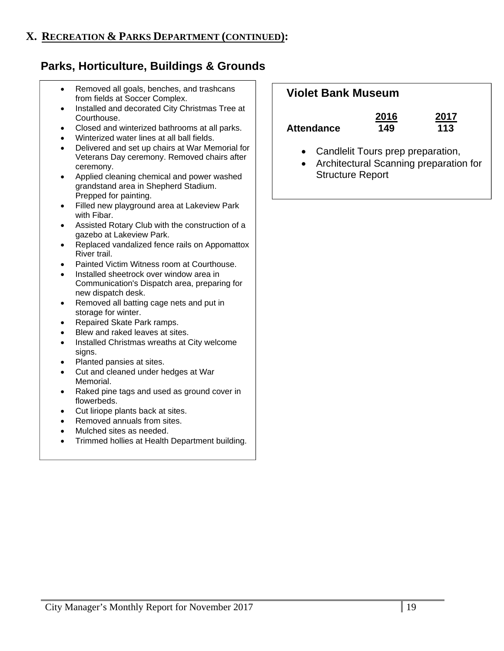# **Parks, Horticulture, Buildings & Grounds**

- Removed all goals, benches, and trashcans from fields at Soccer Complex.
- Installed and decorated City Christmas Tree at Courthouse.
- Closed and winterized bathrooms at all parks.
- Winterized water lines at all ball fields.
- Delivered and set up chairs at War Memorial for Veterans Day ceremony. Removed chairs after ceremony.
- Applied cleaning chemical and power washed grandstand area in Shepherd Stadium. Prepped for painting.
- Filled new playground area at Lakeview Park with Fibar.
- Assisted Rotary Club with the construction of a gazebo at Lakeview Park.
- Replaced vandalized fence rails on Appomattox River trail.
- Painted Victim Witness room at Courthouse.
- Installed sheetrock over window area in Communication's Dispatch area, preparing for new dispatch desk.
- Removed all batting cage nets and put in storage for winter.
- Repaired Skate Park ramps.
- Blew and raked leaves at sites.
- Installed Christmas wreaths at City welcome signs.
- Planted pansies at sites.
- Cut and cleaned under hedges at War Memorial.
- Raked pine tags and used as ground cover in flowerbeds.
- Cut liriope plants back at sites.
- Removed annuals from sites.
- Mulched sites as needed.
- Trimmed hollies at Health Department building.

## **Violet Bank Museum**

|                   | 2016 | 2017 |
|-------------------|------|------|
| <b>Attendance</b> | 149  | 113  |

- Candlelit Tours prep preparation,
- Architectural Scanning preparation for Structure Report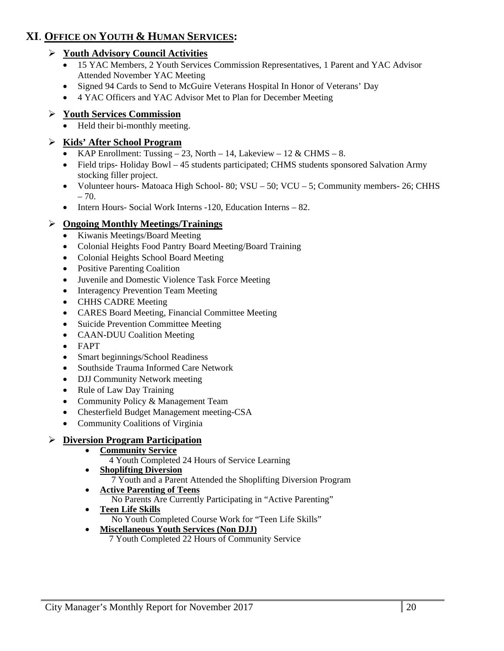# **XI**. **OFFICE ON YOUTH & HUMAN SERVICES:**

### **Youth Advisory Council Activities**

- 15 YAC Members, 2 Youth Services Commission Representatives, 1 Parent and YAC Advisor Attended November YAC Meeting
- Signed 94 Cards to Send to McGuire Veterans Hospital In Honor of Veterans' Day
- 4 YAC Officers and YAC Advisor Met to Plan for December Meeting

### **Youth Services Commission**

• Held their bi-monthly meeting.

### **Kids' After School Program**

- KAP Enrollment: Tussing  $-23$ , North  $-14$ , Lakeview  $-12 \& \text{CHMS} 8$ .
- Field trips- Holiday Bowl 45 students participated; CHMS students sponsored Salvation Army stocking filler project.
- Volunteer hours- Matoaca High School- 80; VSU 50; VCU 5; Community members- 26; CHHS  $-70.$
- Intern Hours- Social Work Interns -120, Education Interns 82.

### **Ongoing Monthly Meetings/Trainings**

- Kiwanis Meetings/Board Meeting
- Colonial Heights Food Pantry Board Meeting/Board Training
- Colonial Heights School Board Meeting
- Positive Parenting Coalition
- Juvenile and Domestic Violence Task Force Meeting
- Interagency Prevention Team Meeting
- CHHS CADRE Meeting
- CARES Board Meeting, Financial Committee Meeting
- Suicide Prevention Committee Meeting
- CAAN-DUU Coalition Meeting
- FAPT
- Smart beginnings/School Readiness
- Southside Trauma Informed Care Network
- DJJ Community Network meeting
- Rule of Law Day Training
- Community Policy & Management Team
- Chesterfield Budget Management meeting-CSA
- Community Coalitions of Virginia

### **Diversion Program Participation**

- **Community Service** 
	- 4 Youth Completed 24 Hours of Service Learning
- **Shoplifting Diversion** 
	- 7 Youth and a Parent Attended the Shoplifting Diversion Program
- **Active Parenting of Teens**  No Parents Are Currently Participating in "Active Parenting"
- **Teen Life Skills** 
	- No Youth Completed Course Work for "Teen Life Skills"
- **Miscellaneous Youth Services (Non DJJ)** 
	- 7 Youth Completed 22 Hours of Community Service